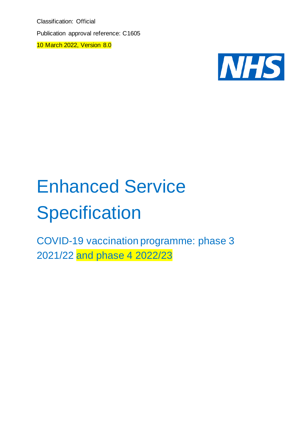Classification: Official Publication approval reference: C1605

10 March 2022, Version 8.0



# Enhanced Service **Specification**

COVID-19 vaccination programme: phase 3 2021/22 and phase 4 2022/23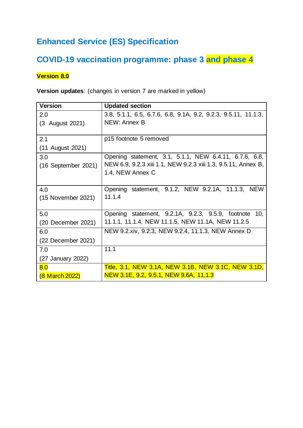# **Enhanced Service (ES) Specification**

# **COVID-19 vaccination programme: phase 3 and phase 4**

#### **Version 8.0**

**Version updates**: (changes in version 7 are marked in yellow)

| <b>Version</b>      | <b>Updated section</b>                                         |
|---------------------|----------------------------------------------------------------|
| 2.0                 | 3.8, 5.1.1, 6.5, 6.7.6, 6.8, 9.1A, 9.2, 9.2.3, 9.5.11, 11.1.3, |
| (3 August 2021)     | NEW: Annex B                                                   |
|                     |                                                                |
| 2.1                 | p15 footnote 5 removed                                         |
| (11 August 2021)    |                                                                |
| 3.0                 | Opening statement, 3.1, 5.1.1, NEW 6.4.11, 6.7.6, 6.8,         |
| (16 September 2021) | NEW 6.9, 9.2.3 xiii 1.1, NEW 9.2.3 xiii 1.3, 9.5.11, Annex B,  |
|                     | 1.4, NEW Annex C                                               |
|                     |                                                                |
| 4.0                 | Opening statement, 9.1.2, NEW 9.2.1A, 11.1.3, NEW              |
| (15 November 2021)  | 11.1.4                                                         |
|                     |                                                                |
| 5.0                 | Opening statement, 9.2.1A, 9.2.3, 9.5.9, footnote 10,          |
| (20 December 2021)  | 11.1.1, 11.1.4, NEW 11.1.5, NEW 11.1A, NEW 11.2.5              |
| 6.0                 | NEW 9.2.xiv, 9.2.3, NEW 9.2.4, 11.1.3, NEW Annex D             |
| (22 December 2021)  |                                                                |
| 7.0                 | 11.1                                                           |
| (27 January 2022)   |                                                                |
| 8.0                 | <b>Title, 3.1, NEW 3.1A, NEW 3.1B, NEW 3.1C, NEW 3.1D,</b>     |
| (8 March 2022)      | NEW 3.1E, 9.2, 9.5.1, NEW 9.6A, 11.1.3                         |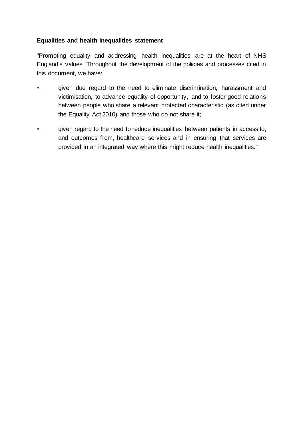#### **Equalities and health inequalities statement**

"Promoting equality and addressing health inequalities are at the heart of NHS England's values. Throughout the development of the policies and processes cited in this document, we have:

- given due regard to the need to eliminate discrimination, harassment and victimisation, to advance equality of opportunity, and to foster good relations between people who share a relevant protected characteristic (as cited under the Equality Act 2010) and those who do not share it;
- given regard to the need to reduce inequalities between patients in access to, and outcomes from, healthcare services and in ensuring that services are provided in an integrated way where this might reduce health inequalities."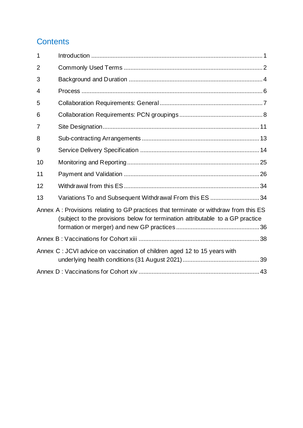## **Contents**

| 1              |                                                                                                                                                                        |  |
|----------------|------------------------------------------------------------------------------------------------------------------------------------------------------------------------|--|
| $\overline{2}$ |                                                                                                                                                                        |  |
| 3              |                                                                                                                                                                        |  |
| 4              |                                                                                                                                                                        |  |
| 5              |                                                                                                                                                                        |  |
| 6              |                                                                                                                                                                        |  |
| 7              |                                                                                                                                                                        |  |
| 8              |                                                                                                                                                                        |  |
| 9              |                                                                                                                                                                        |  |
| 10             |                                                                                                                                                                        |  |
| 11             |                                                                                                                                                                        |  |
| 12             |                                                                                                                                                                        |  |
| 13             | Variations To and Subsequent Withdrawal From this ES  34                                                                                                               |  |
|                | Annex A: Provisions relating to GP practices that terminate or withdraw from this ES<br>(subject to the provisions below for termination attributable to a GP practice |  |
|                |                                                                                                                                                                        |  |
|                | Annex C : JCVI advice on vaccination of children aged 12 to 15 years with                                                                                              |  |
|                |                                                                                                                                                                        |  |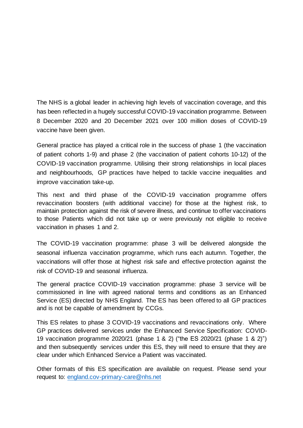The NHS is a global leader in achieving high levels of vaccination coverage, and this has been reflected in a hugely successful COVID-19 vaccination programme. Between 8 December 2020 and 20 December 2021 over 100 million doses of COVID-19 vaccine have been given.

General practice has played a critical role in the success of phase 1 (the vaccination of patient cohorts 1-9) and phase 2 (the vaccination of patient cohorts 10-12) of the COVID-19 vaccination programme. Utilising their strong relationships in local places and neighbourhoods, GP practices have helped to tackle vaccine inequalities and improve vaccination take-up.

This next and third phase of the COVID-19 vaccination programme offers revaccination boosters (with additional vaccine) for those at the highest risk, to maintain protection against the risk of severe illness, and continue to offer vaccinations to those Patients which did not take up or were previously not eligible to receive vaccination in phases 1 and 2.

The COVID-19 vaccination programme: phase 3 will be delivered alongside the seasonal influenza vaccination programme, which runs each autumn. Together, the vaccinations will offer those at highest risk safe and effective protection against the risk of COVID-19 and seasonal influenza.

The general practice COVID-19 vaccination programme: phase 3 service will be commissioned in line with agreed national terms and conditions as an Enhanced Service (ES) directed by NHS England. The ES has been offered to all GP practices and is not be capable of amendment by CCGs.

This ES relates to phase 3 COVID-19 vaccinations and revaccinations only. Where GP practices delivered services under the Enhanced Service Specification: COVID-19 vaccination programme 2020/21 (phase 1 & 2) ("the ES 2020/21 (phase 1 & 2)") and then subsequently services under this ES, they will need to ensure that they are clear under which Enhanced Service a Patient was vaccinated.

Other formats of this ES specification are available on request. Please send your request to: [england.cov-primary-care@nhs.net](mailto:england.cov-primary-care@nhs.net)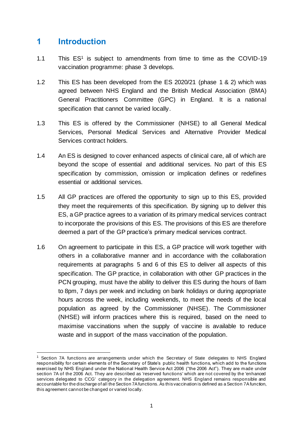## **1 Introduction**

- 1.1 This ES<sup>1</sup> is subject to amendments from time to time as the COVID-19 vaccination programme: phase 3 develops.
- 1.2 This ES has been developed from the ES 2020/21 (phase 1 & 2) which was agreed between NHS England and the British Medical Association (BMA) General Practitioners Committee (GPC) in England. It is a national specification that cannot be varied locally.
- 1.3 This ES is offered by the Commissioner (NHSE) to all General Medical Services, Personal Medical Services and Alternative Provider Medical Services contract holders.
- 1.4 An ES is designed to cover enhanced aspects of clinical care, all of which are beyond the scope of essential and additional services. No part of this ES specification by commission, omission or implication defines or redefines essential or additional services.
- 1.5 All GP practices are offered the opportunity to sign up to this ES, provided they meet the requirements of this specification. By signing up to deliver this ES, a GP practice agrees to a variation of its primary medical services contract to incorporate the provisions of this ES. The provisions of this ES are therefore deemed a part of the GP practice's primary medical services contract.
- 1.6 On agreement to participate in this ES, a GP practice will work together with others in a collaborative manner and in accordance with the collaboration requirements at paragraphs 5 and 6 of this ES to deliver all aspects of this specification. The GP practice, in collaboration with other GP practices in the PCN grouping, must have the ability to deliver this ES during the hours of 8am to 8pm, 7 days per week and including on bank holidays or during appropriate hours across the week, including weekends, to meet the needs of the local population as agreed by the Commissioner (NHSE). The Commissioner (NHSE) will inform practices where this is required, based on the need to maximise vaccinations when the supply of vaccine is available to reduce waste and in support of the mass vaccination of the population.

<sup>&</sup>lt;sup>1</sup> Section 7A functions are arrangements under which the Secretary of State delegates to NHS England responsibility for certain elements of the Secretary of State's public health functions, which add to the functions exercised by NHS England under the National Health Service Act 2006 ("the 2006 Act"). They are made under section 7A of the 2006 Act. They are described as 'reserved functions' which are not covered by the 'enhanced services delegated to CCG' category in the delegation agreement. NHS England remains responsible and accountable for the discharge of all the Section 7Afunctions. As this vaccination is defined as a Section 7Afunction, this agreement cannot be changed or varied locally.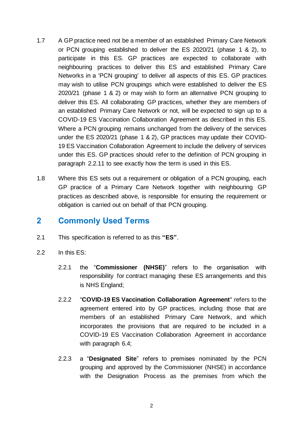- 1.7 A GP practice need not be a member of an established Primary Care Network or PCN grouping established to deliver the ES 2020/21 (phase 1 & 2), to participate in this ES. GP practices are expected to collaborate with neighbouring practices to deliver this ES and established Primary Care Networks in a 'PCN grouping' to deliver all aspects of this ES. GP practices may wish to utilise PCN groupings which were established to deliver the ES 2020/21 (phase 1 & 2) or may wish to form an alternative PCN grouping to deliver this ES. All collaborating GP practices, whether they are members of an established Primary Care Network or not, will be expected to sign up to a COVID-19 ES Vaccination Collaboration Agreement as described in this ES. Where a PCN grouping remains unchanged from the delivery of the services under the ES 2020/21 (phase 1 & 2), GP practices may update their COVID-19 ES Vaccination Collaboration Agreement to include the delivery of services under this ES. GP practices should refer to the definition of PCN grouping in paragraph [2.2.11](#page-7-0) to see exactly how the term is used in this ES.
- 1.8 Where this ES sets out a requirement or obligation of a PCN grouping, each GP practice of a Primary Care Network together with neighbouring GP practices as described above, is responsible for ensuring the requirement or obligation is carried out on behalf of that PCN grouping.

## **2 Commonly Used Terms**

- 2.1 This specification is referred to as this **"ES"**.
- 2.2 In this ES:
	- 2.2.1 the "**Commissioner (NHSE)**" refers to the organisation with responsibility for contract managing these ES arrangements and this is NHS England;
	- 2.2.2 "**COVID-19 ES Vaccination Collaboration Agreement**" refers to the agreement entered into by GP practices, including those that are members of an established Primary Care Network, and which incorporates the provisions that are required to be included in a COVID-19 ES Vaccination Collaboration Agreement in accordance with paragraph [6.4;](#page-12-0)
	- 2.2.3 a "**Designated Site**" refers to premises nominated by the PCN grouping and approved by the Commissioner (NHSE) in accordance with the Designation Process as the premises from which the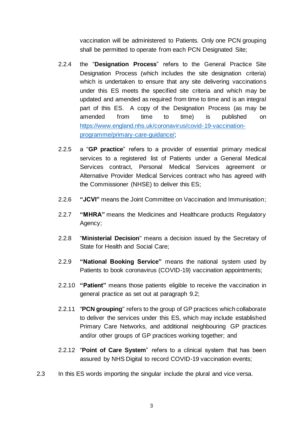vaccination will be administered to Patients. Only one PCN grouping shall be permitted to operate from each PCN Designated Site;

- 2.2.4 the "**Designation Process**" refers to the General Practice Site Designation Process (which includes the site designation criteria) which is undertaken to ensure that any site delivering vaccinations under this ES meets the specified site criteria and which may be updated and amended as required from time to time and is an integral part of this ES. A copy of the Designation Process (as may be amended from time to time) is published on [https://www.england.nhs.uk/coronavirus/covid-19-vaccination](https://www.england.nhs.uk/coronavirus/covid-19-vaccination-programme/primary-care-guidance/)[programme/primary-care-guidance/;](https://www.england.nhs.uk/coronavirus/covid-19-vaccination-programme/primary-care-guidance/)
- 2.2.5 a "**GP practice**" refers to a provider of essential primary medical services to a registered list of Patients under a General Medical Services contract, Personal Medical Services agreement or Alternative Provider Medical Services contract who has agreed with the Commissioner (NHSE) to deliver this ES;
- 2.2.6 **"JCVI"** means the Joint Committee on Vaccination and Immunisation;
- 2.2.7 **"MHRA"** means the Medicines and Healthcare products Regulatory Agency;
- 2.2.8 "**Ministerial Decision**" means a decision issued by the Secretary of State for Health and Social Care;
- 2.2.9 **"National Booking Service"** means the national system used by Patients to book coronavirus (COVID-19) vaccination appointments;
- 2.2.10 **"Patient"** means those patients eligible to receive the vaccination in general practice as set out at paragraph [9.2;](#page-18-0)
- <span id="page-7-0"></span>2.2.11 "**PCN grouping**" refers to the group of GP practices which collaborate to deliver the services under this ES, which may include established Primary Care Networks, and additional neighbouring GP practices and/or other groups of GP practices working together; and
- 2.2.12 "**Point of Care System**" refers to a clinical system that has been assured by NHS Digital to record COVID-19 vaccination events;
- 2.3 In this ES words importing the singular include the plural and vice versa.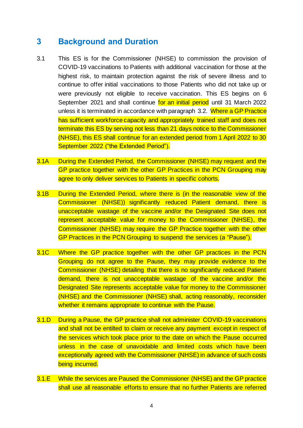## **3 Background and Duration**

- 3.1 This ES is for the Commissioner (NHSE) to commission the provision of COVID-19 vaccinations to Patients with additional vaccination for those at the highest risk, to maintain protection against the risk of severe illness and to continue to offer initial vaccinations to those Patients who did not take up or were previously not eligible to receive vaccination. This ES begins on 6 September 2021 and shall continue for an initial period until 31 March 2022 unless it is terminated in accordance with paragraph [3.2.](#page-9-0) Where a GP Practice has sufficient workforce capacity and appropriately trained staff and does not terminate this ES by serving not less than 21 days notice to the Commissioner (NHSE), this ES shall continue for an extended period from 1 April 2022 to 30 September 2022 ("the Extended Period").
- 3.1A During the Extended Period, the Commissioner (NHSE) may request and the GP practice together with the other GP Practices in the PCN Grouping may agree to only deliver services to Patients in specific cohorts.
- 3.1B During the Extended Period, where there is (in the reasonable view of the Commissioner (NHSE)) significantly reduced Patient demand, there is unacceptable wastage of the vaccine and/or the Designated Site does not represent acceptable value for money to the Commissioner (NHSE), the Commissioner (NHSE) may require the GP Practice together with the other GP Practices in the PCN Grouping to suspend the services (a "Pause").
- 3.1C Where the GP practice together with the other GP practices in the PCN Grouping do not agree to the Pause, they may provide evidence to the Commissioner (NHSE) detailing that there is no significantly reduced Patient demand, there is not unacceptable wastage of the vaccine and/or the Designated Site represents acceptable value for money to the Commissioner (NHSE) and the Commissioner (NHSE) shall, acting reasonably, reconsider whether it remains appropriate to continue with the Pause.
- 3.1.D During a Pause, the GP practice shall not administer COVID-19 vaccinations and shall not be entilted to claim or receive any payment except in respect of the services which took place prior to the date on which the Pause occurred unless in the case of unavoidable and limited costs which have been exceptionally agreed with the Commissioner (NHSE) in advance of such costs being incurred.
- 3.1.E While the services are Paused the Commissioner (NHSE) and the GP practice shall use all reasonable efforts to ensure that no further Patients are referred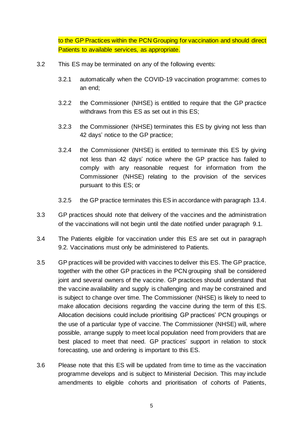to the GP Practices within the PCN Grouping for vaccination and should direct Patients to available services, as appropriate.

- <span id="page-9-0"></span>3.2 This ES may be terminated on any of the following events:
	- 3.2.1 automatically when the COVID-19 vaccination programme: comes to an end;
	- 3.2.2 the Commissioner (NHSE) is entitled to require that the GP practice withdraws from this ES as set out in this ES;
	- 3.2.3 the Commissioner (NHSE) terminates this ES by giving not less than 42 days' notice to the GP practice;
	- 3.2.4 the Commissioner (NHSE) is entitled to terminate this ES by giving not less than 42 days' notice where the GP practice has failed to comply with any reasonable request for information from the Commissioner (NHSE) relating to the provision of the services pursuant to this ES; or
	- 3.2.5 the GP practice terminates this ES in accordance with paragraph [13.4.](#page-38-0)
- 3.3 GP practices should note that delivery of the vaccines and the administration of the vaccinations will not begin until the date notified under paragraph [9.1.](#page-18-1)
- 3.4 The Patients eligible for vaccination under this ES are set out in paragraph [9.2.](#page-18-0) Vaccinations must only be administered to Patients.
- 3.5 GP practices will be provided with vaccines to deliver this ES. The GP practice, together with the other GP practices in the PCN grouping shall be considered joint and several owners of the vaccine. GP practices should understand that the vaccine availability and supply is challenging and may be constrained and is subject to change over time. The Commissioner (NHSE) is likely to need to make allocation decisions regarding the vaccine during the term of this ES. Allocation decisions could include prioritising GP practices' PCN groupings or the use of a particular type of vaccine. The Commissioner (NHSE) will, where possible, arrange supply to meet local population need from providers that are best placed to meet that need. GP practices' support in relation to stock forecasting, use and ordering is important to this ES.
- 3.6 Please note that this ES will be updated from time to time as the vaccination programme develops and is subject to Ministerial Decision. This may include amendments to eligible cohorts and prioritisation of cohorts of Patients,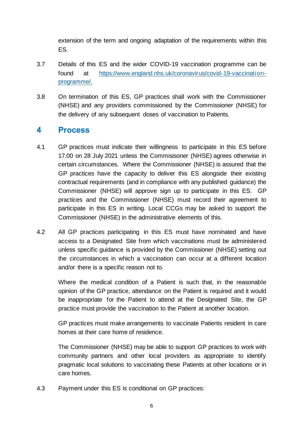extension of the term and ongoing adaptation of the requirements within this ES.

- 3.7 Details of this ES and the wider COVID-19 vaccination programme can be found at [https://www.england.nhs.uk/coronavirus/covid-19-vaccination](https://www.england.nhs.uk/coronavirus/covid-19-vaccination-programme/)[programme/.](https://www.england.nhs.uk/coronavirus/covid-19-vaccination-programme/)
- 3.8 On termination of this ES, GP practices shall work with the Commissioner (NHSE) and any providers commissioned by the Commissioner (NHSE) for the delivery of any subsequent doses of vaccination to Patients.

## **4 Process**

- <span id="page-10-0"></span>4.1 GP practices must indicate their willingness to participate in this ES before 17.00 on 28 July 2021 unless the Commisisoner (NHSE) agrees otherwise in certain circumstances. Where the Commissioner (NHSE) is assured that the GP practices have the capacity to deliver this ES alongside their existing contractual requirements (and in compliance with any published guidance) the Commissioner (NHSE) will approve sign up to participate in this ES. GP practices and the Commissioner (NHSE) must record their agreement to participate in this ES in writing. Local CCGs may be asked to support the Commissioner (NHSE) in the administrative elements of this.
- 4.2 All GP practices participating in this ES must have nominated and have access to a Designated Site from which vaccinations must be administered unless specific guidance is provided by the Commissioner (NHSE) setting out the circumstances in which a vaccination can occur at a different location and/or there is a specific reason not to.

Where the medical condition of a Patient is such that, in the reasonable opinion of the GP practice, attendance on the Patient is required and it would be inappropriate for the Patient to attend at the Designated Site, the GP practice must provide the vaccination to the Patient at another location.

GP practices must make arrangements to vaccinate Patients resident in care homes at their care home of residence.

The Commissioner (NHSE) may be able to support GP practices to work with community partners and other local providers as appropriate to identify pragmatic local solutions to vaccinating these Patients at other locations or in care homes.

4.3 Payment under this ES is conditional on GP practices: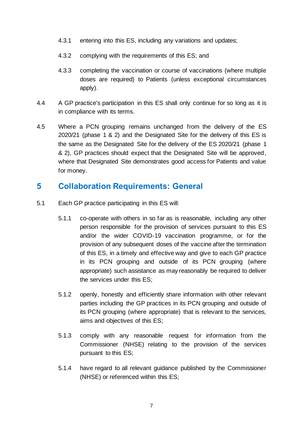- 4.3.1 entering into this ES, including any variations and updates;
- 4.3.2 complying with the requirements of this ES; and
- 4.3.3 completing the vaccination or course of vaccinations (where multiple doses are required) to Patients (unless exceptional circumstances apply).
- 4.4 A GP practice's participation in this ES shall only continue for so long as it is in compliance with its terms.
- 4.5 Where a PCN grouping remains unchanged from the delivery of the ES 2020/21 (phase 1 & 2) and the Designated Site for the delivery of this ES is the same as the Designated Site for the delivery of the ES 2020/21 (phase 1 & 2), GP practices should expect that the Designated Site will be approved, where that Designated Site demonstrates good access for Patients and value for money.

## **5 Collaboration Requirements: General**

- 5.1 Each GP practice participating in this ES will:
	- 5.1.1 co-operate with others in so far as is reasonable, including any other person responsible for the provision of services pursuant to this ES and/or the wider COVID-19 vaccination programme, or for the provision of any subsequent doses of the vaccine after the termination of this ES, in a timely and effective way and give to each GP practice in its PCN grouping and outside of its PCN grouping (where appropriate) such assistance as may reasonably be required to deliver the services under this ES;
	- 5.1.2 openly, honestly and efficiently share information with other relevant parties including the GP practices in its PCN grouping and outside of its PCN grouping (where appropriate) that is relevant to the services, aims and objectives of this ES;
	- 5.1.3 comply with any reasonable request for information from the Commissioner (NHSE) relating to the provision of the services pursuant to this ES;
	- 5.1.4 have regard to all relevant guidance published by the Commissioner (NHSE) or referenced within this ES;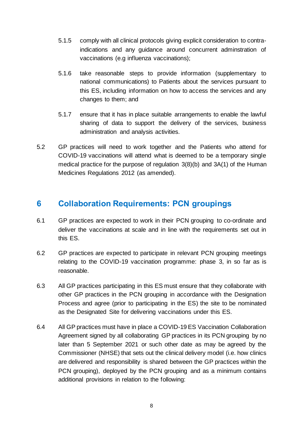- 5.1.5 comply with all clinical protocols giving explicit consideration to contraindications and any guidance around concurrent adminstration of vaccinations (e.g influenza vaccinations);
- 5.1.6 take reasonable steps to provide information (supplementary to national communications) to Patients about the services pursuant to this ES, including information on how to access the services and any changes to them; and
- 5.1.7 ensure that it has in place suitable arrangements to enable the lawful sharing of data to support the delivery of the services, business administration and analysis activities.
- 5.2 GP practices will need to work together and the Patients who attend for COVID-19 vaccinations will attend what is deemed to be a temporary single medical practice for the purpose of regulation 3(8)(b) and 3A(1) of the Human Medicines Regulations 2012 (as amended).

## **6 Collaboration Requirements: PCN groupings**

- 6.1 GP practices are expected to work in their PCN grouping to co-ordinate and deliver the vaccinations at scale and in line with the requirements set out in this ES.
- 6.2 GP practices are expected to participate in relevant PCN grouping meetings relating to the COVID-19 vaccination programme: phase 3, in so far as is reasonable.
- 6.3 All GP practices participating in this ES must ensure that they collaborate with other GP practices in the PCN grouping in accordance with the Designation Process and agree (prior to participating in the ES) the site to be nominated as the Designated Site for delivering vaccinations under this ES.
- <span id="page-12-0"></span>6.4 All GP practices must have in place a COVID-19 ES Vaccination Collaboration Agreement signed by all collaborating GP practices in its PCN grouping by no later than 5 September 2021 or such other date as may be agreed by the Commissioner (NHSE) that sets out the clinical delivery model (i.e. how clinics are delivered and responsibility is shared between the GP practices within the PCN grouping), deployed by the PCN grouping and as a minimum contains additional provisions in relation to the following: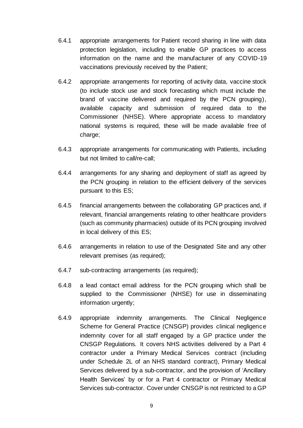- 6.4.1 appropriate arrangements for Patient record sharing in line with data protection legislation, including to enable GP practices to access information on the name and the manufacturer of any COVID-19 vaccinations previously received by the Patient;
- 6.4.2 appropriate arrangements for reporting of activity data, vaccine stock (to include stock use and stock forecasting which must include the brand of vaccine delivered and required by the PCN grouping), available capacity and submission of required data to the Commissioner (NHSE). Where appropriate access to mandatory national systems is required, these will be made available free of charge;
- 6.4.3 appropriate arrangements for communicating with Patients, including but not limited to call/re-call;
- 6.4.4 arrangements for any sharing and deployment of staff as agreed by the PCN grouping in relation to the efficient delivery of the services pursuant to this ES;
- 6.4.5 financial arrangements between the collaborating GP practices and, if relevant, financial arrangements relating to other healthcare providers (such as community pharmacies) outside of its PCN grouping involved in local delivery of this ES;
- 6.4.6 arrangements in relation to use of the Designated Site and any other relevant premises (as required);
- 6.4.7 sub-contracting arrangements (as required);
- 6.4.8 a lead contact email address for the PCN grouping which shall be supplied to the Commissioner (NHSE) for use in disseminating information urgently;
- 6.4.9 appropriate indemnity arrangements. The Clinical Negligence Scheme for General Practice (CNSGP) provides clinical negligence indemnity cover for all staff engaged by a GP practice under the CNSGP Regulations. It covers NHS activities delivered by a Part 4 contractor under a Primary Medical Services contract (including under Schedule 2L of an NHS standard contract), Primary Medical Services delivered by a sub-contractor, and the provision of 'Ancillary Health Services' by or for a Part 4 contractor or Primary Medical Services sub-contractor. Cover under CNSGP is not restricted to a GP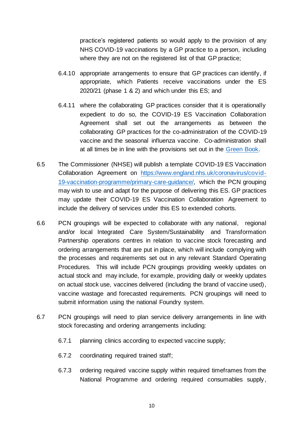practice's registered patients so would apply to the provision of any NHS COVID-19 vaccinations by a GP practice to a person, including where they are not on the registered list of that GP practice;

- 6.4.10 appropriate arrangements to ensure that GP practices can identify, if appropriate, which Patients receive vaccinations under the ES 2020/21 (phase 1 & 2) and which under this ES; and
- 6.4.11 where the collaborating GP practices consider that it is operationally expedient to do so, the COVID-19 ES Vaccination Collaboration Agreement shall set out the arrangements as between the collaborating GP practices for the co-administration of the COVID-19 vaccine and the seasonal influenza vaccine. Co-administration shall at all times be in line with the provisions set out in the [Green Book.](https://assets.publishing.service.gov.uk/government/uploads/system/uploads/attachment_data/file/1015203/Greenbook_chapter_14a_3Sept21.pdf)
- 6.5 The Commissioner (NHSE) will publish a template COVID-19 ES Vaccination Collaboration Agreement on https://www.england.nhs.uk/coronavirus/covid-19-vaccination-programme/primary-care-guidance/, which the PCN grouping may wish to use and adapt for the purpose of delivering this ES. GP practices may update their COVID-19 ES Vaccination Collaboration Agreement to include the delivery of services under this ES to extended cohorts.
- 6.6 PCN groupings will be expected to collaborate with any national, regional and/or local Integrated Care System/Sustainability and Transformation Partnership operations centres in relation to vaccine stock forecasting and ordering arrangements that are put in place, which will include complying with the processes and requirements set out in any relevant Standard Operating Procedures. This will include PCN groupings providing weekly updates on actual stock and may include, for example, providing daily or weekly updates on actual stock use, vaccines delivered (including the brand of vaccine used), vaccine wastage and forecasted requirements. PCN groupings will need to submit information using the national Foundry system.
- 6.7 PCN groupings will need to plan service delivery arrangements in line with stock forecasting and ordering arrangements including:
	- 6.7.1 planning clinics according to expected vaccine supply;
	- 6.7.2 coordinating required trained staff;
	- 6.7.3 ordering required vaccine supply within required timeframes from the National Programme and ordering required consumables supply,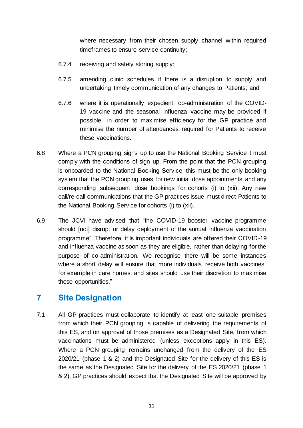where necessary from their chosen supply channel within required timeframes to ensure service continuity;

- 6.7.4 receiving and safely storing supply;
- 6.7.5 amending clinic schedules if there is a disruption to supply and undertaking timely communication of any changes to Patients; and
- 6.7.6 where it is operationally expedient, co-administration of the COVID-19 vaccine and the seasonal influenza vaccine may be provided if possible, in order to maximise efficiency for the GP practice and minimise the number of attendances required for Patients to receive these vaccinations.
- 6.8 Where a PCN grouping signs up to use the National Booking Service it must comply with the conditions of sign up. From the point that the PCN grouping is onboarded to the National Booking Service, this must be the only booking system that the PCN grouping uses for new initial dose appointments and any corresponding subsequent dose bookings for cohorts (i) to (xii). Any new call/re-call communications that the GP practices issue must direct Patients to the National Booking Service for cohorts (i) to (xii).
- 6.9 The JCVI have advised that "the COVID-19 booster vaccine programme should [not] disrupt or delay deployment of the annual influenza vaccination programme". Therefore, it is important individuals are offered their COVID-19 and influenza vaccine as soon as they are eligible, rather than delaying for the purpose of co-administration. We recognise there will be some instances where a short delay will ensure that more individuals receive both vaccines, for example in care homes, and sites should use their discretion to maximise these opportunities."

## **7 Site Designation**

7.1 All GP practices must collaborate to identify at least one suitable premises from which their PCN grouping is capable of delivering the requirements of this ES, and on approval of those premises as a Designated Site, from which vaccinations must be administered (unless exceptions apply in this ES). Where a PCN grouping remains unchanged from the delivery of the ES 2020/21 (phase 1 & 2) and the Designated Site for the delivery of this ES is the same as the Designated Site for the delivery of the ES 2020/21 (phase 1 & 2), GP practices should expect that the Designated Site will be approved by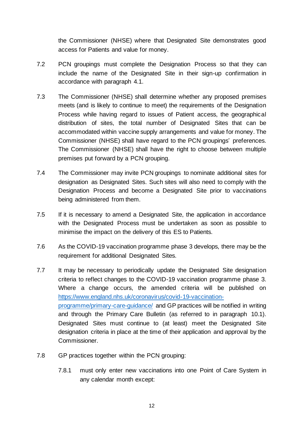the Commissioner (NHSE) where that Designated Site demonstrates good access for Patients and value for money.

- 7.2 PCN groupings must complete the Designation Process so that they can include the name of the Designated Site in their sign-up confirmation in accordance with paragraph [4.1.](#page-10-0)
- 7.3 The Commissioner (NHSE) shall determine whether any proposed premises meets (and is likely to continue to meet) the requirements of the Designation Process while having regard to issues of Patient access, the geographical distribution of sites, the total number of Designated Sites that can be accommodated within vaccine supply arrangements and value for money. The Commissioner (NHSE) shall have regard to the PCN groupings' preferences. The Commissioner (NHSE) shall have the right to choose between multiple premises put forward by a PCN grouping.
- 7.4 The Commissioner may invite PCN groupings to nominate additional sites for designation as Designated Sites. Such sites will also need to comply with the Designation Process and become a Designated Site prior to vaccinations being administered from them.
- 7.5 If it is necessary to amend a Designated Site, the application in accordance with the Designated Process must be undertaken as soon as possible to minimise the impact on the delivery of this ES to Patients.
- 7.6 As the COVID-19 vaccination programme phase 3 develops, there may be the requirement for additional Designated Sites.
- 7.7 It may be necessary to periodically update the Designated Site designation criteria to reflect changes to the COVID-19 vaccination programme phase 3. Where a change occurs, the amended criteria will be published on [https://www.england.nhs.uk/coronavirus/covid-19-vaccination](https://www.england.nhs.uk/coronavirus/covid-19-vaccination-programme/primary-care-guidance/)[programme/primary-care-guidance/](https://www.england.nhs.uk/coronavirus/covid-19-vaccination-programme/primary-care-guidance/) and GP practices will be notified in writing and through the Primary Care Bulletin (as referred to in paragraph [10.1\)](#page-29-0). Designated Sites must continue to (at least) meet the Designated Site designation criteria in place at the time of their application and approval by the Commissioner.
- 7.8 GP practices together within the PCN grouping:
	- 7.8.1 must only enter new vaccinations into one Point of Care System in any calendar month except: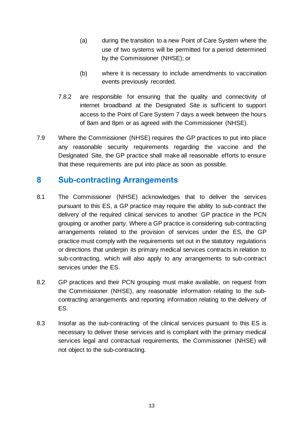- (a) during the transition to a new Point of Care System where the use of two systems will be permitted for a period determined by the Commissioner (NHSE); or
- (b) where it is necessary to include amendments to vaccination events previously recorded.
- 7.8.2 are responsible for ensuring that the quality and connectivity of internet broadband at the Designated Site is sufficient to support access to the Point of Care System 7 days a week between the hours of 8am and 8pm or as agreed with the Commissioner (NHSE).
- 7.9 Where the Commissioner (NHSE) requires the GP practices to put into place any reasonable security requirements regarding the vaccine and the Designated Site, the GP practice shall make all reasonable efforts to ensure that these requirements are put into place as soon as possible.

## **8 Sub-contracting Arrangements**

- 8.1 The Commissioner (NHSE) acknowledges that to deliver the services pursuant to this ES, a GP practice may require the ability to sub-contract the delivery of the required clinical services to another GP practice in the PCN grouping or another party. Where a GP practice is considering sub-contracting arrangements related to the provision of services under the ES, the GP practice must comply with the requirements set out in the statutory regulations or directions that underpin its primary medical services contracts in relation to sub-contracting, which will also apply to any arrangements to sub-contract services under the ES.
- 8.2 GP practices and their PCN grouping must make available, on request from the Commissioner (NHSE), any reasonable information relating to the subcontracting arrangements and reporting information relating to the delivery of ES.
- 8.3 Insofar as the sub-contracting of the clinical services pursuant to this ES is necessary to deliver these services and is compliant with the primary medical services legal and contractual requirements, the Commissioner (NHSE) will not object to the sub-contracting.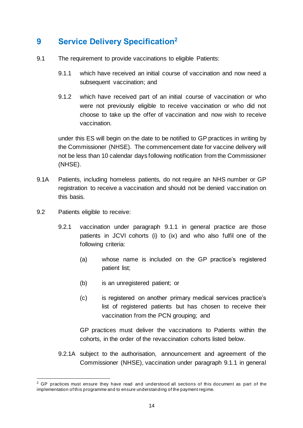## **9 Service Delivery Specification<sup>2</sup>**

- <span id="page-18-1"></span>9.1 The requirement to provide vaccinations to eligible Patients:
	- 9.1.1 which have received an initial course of vaccination and now need a subsequent vaccination; and
	- 9.1.2 which have received part of an initial course of vaccination or who were not previously eligible to receive vaccination or who did not choose to take up the offer of vaccination and now wish to receive vaccination.

under this ES will begin on the date to be notified to GP practices in writing by the Commissioner (NHSE). The commencement date for vaccine delivery will not be less than 10 calendar days following notification from the Commissioner (NHSE).

- 9.1A Patients, including homeless patients, do not require an NHS number or GP registration to receive a vaccination and should not be denied vaccination on this basis.
- <span id="page-18-0"></span>9.2 Patients eligible to receive:
	- 9.2.1 vaccination under paragraph 9.1.1 in general practice are those patients in JCVI cohorts (i) to (ix) and who also fulfil one of the following criteria:
		- (a) whose name is included on the GP practice's registered patient list;
		- (b) is an unregistered patient; or
		- (c) is registered on another primary medical services practice's list of registered patients but has chosen to receive their vaccination from the PCN grouping; and

GP practices must deliver the vaccinations to Patients within the cohorts, in the order of the revaccination cohorts listed below.

9.2.1A subject to the authorisation, announcement and agreement of the Commissioner (NHSE), vaccination under paragraph 9.1.1 in general

 $2$  GP practices must ensure they have read and understood all sections of this document as part of the implementation of this programme and to ensure understanding of the payment regime.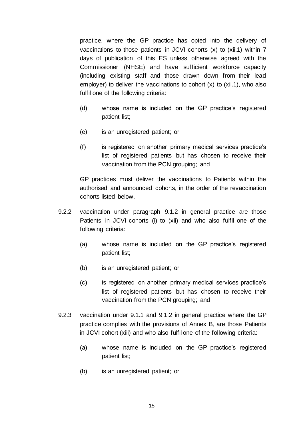practice, where the GP practice has opted into the delivery of vaccinations to those patients in JCVI cohorts (x) to (xii.1) within 7 days of publication of this ES unless otherwise agreed with the Commissioner (NHSE) and have sufficient workforce capacity (including existing staff and those drawn down from their lead employer) to deliver the vaccinations to cohort  $(x)$  to  $(xii.1)$ , who also fulfil one of the following criteria:

- (d) whose name is included on the GP practice's registered patient list;
- (e) is an unregistered patient; or
- (f) is registered on another primary medical services practice's list of registered patients but has chosen to receive their vaccination from the PCN grouping; and

GP practices must deliver the vaccinations to Patients within the authorised and announced cohorts, in the order of the revaccination cohorts listed below.

- 9.2.2 vaccination under paragraph 9.1.2 in general practice are those Patients in JCVI cohorts (i) to (xii) and who also fulfil one of the following criteria:
	- (a) whose name is included on the GP practice's registered patient list;
	- (b) is an unregistered patient; or
	- (c) is registered on another primary medical services practice's list of registered patients but has chosen to receive their vaccination from the PCN grouping; and
- 9.2.3 vaccination under 9.1.1 and 9.1.2 in general practice where the GP practice complies with the provisions of Annex B, are those Patients in JCVI cohort (xiii) and who also fulfil one of the following criteria:
	- (a) whose name is included on the GP practice's registered patient list;
	- (b) is an unregistered patient; or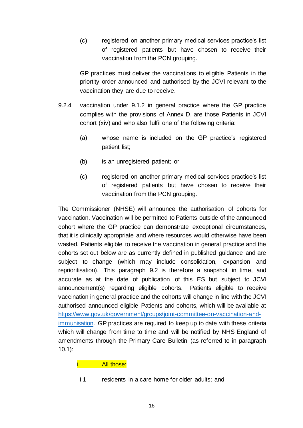(c) registered on another primary medical services practice's list of registered patients but have chosen to receive their vaccination from the PCN grouping.

GP practices must deliver the vaccinations to eligible Patients in the priortity order announced and authorised by the JCVI relevant to the vaccination they are due to receive.

- 9.2.4 vaccination under 9.1.2 in general practice where the GP practice complies with the provisions of Annex D, are those Patients in JCVI cohort (xiv) and who also fulfil one of the following criteria:
	- (a) whose name is included on the GP practice's registered patient list;
	- (b) is an unregistered patient; or
	- (c) registered on another primary medical services practice's list of registered patients but have chosen to receive their vaccination from the PCN grouping.

The Commissioner (NHSE) will announce the authorisation of cohorts for vaccination. Vaccination will be permitted to Patients outside of the announced cohort where the GP practice can demonstrate exceptional circumstances, that it is clinically appropriate and where resources would otherwise have been wasted. Patients eligible to receive the vaccination in general practice and the cohorts set out below are as currently defined in published guidance and are subject to change (which may include consolidation, expansion and reprioritisation). This paragraph [9.2](#page-18-0) is therefore a snapshot in time, and accurate as at the date of publication of this ES but subject to JCVI announcement(s) regarding eligible cohorts. Patients eligible to receive vaccination in general practice and the cohorts will change in line with the JCVI authorised announced eligible Patients and cohorts, which will be available at [https://www.gov.uk/government/groups/joint-committee-on-vaccination-and](https://www.gov.uk/government/groups/joint-committee-on-vaccination-and-immunisation)[immunisation.](https://www.gov.uk/government/groups/joint-committee-on-vaccination-and-immunisation) GP practices are required to keep up to date with these criteria which will change from time to time and will be notified by NHS England of amendments through the Primary Care Bulletin (as referred to in paragraph [10.1\)](#page-29-0):

#### i. All those:

i.1 residents in a care home for older adults; and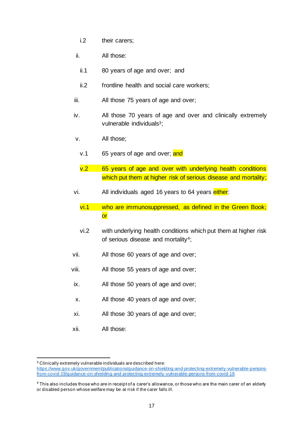- i.2 their carers;
- ii. All those:
- ii.1 80 years of age and over; and
- ii.2 frontline health and social care workers;
- iii. All those 75 years of age and over;
- iv. All those 70 years of age and over and clinically extremely vulnerable individuals<sup>3</sup>;
- v. All those;
	- v.1 65 years of age and over; and
	- v.2 65 years of age and over with underlying health conditions which put them at higher risk of serious disease and mortality;
- vi. All individuals aged 16 years to 64 years either:
	- vi.1 who are immunosuppressed, as defined in the Green Book; or
	- vi.2 with underlying health conditions which put them at higher risk of serious disease and mortality<sup>4</sup>;
- vii. All those 60 years of age and over;
- viii. All those 55 years of age and over;
- ix. All those 50 years of age and over;
- x. All those 40 years of age and over;
- xi. All those 30 years of age and over;
- xii. All those:

<sup>3</sup> Clinically extremely vulnerable individuals are described here: [https://www.gov.uk/government/publications/guidance-on-shielding-and-protecting-extremely-vulnerable-persons](https://www.gov.uk/government/publications/guidance-on-shielding-and-protecting-extremely-vulnerable-persons-from-covid-19/guidance-on-shielding-and-protecting-extremely-vulnerable-persons-from-covid-19)[from-covid-19/guidance-on-shielding-and-protecting-extremely-vulnerable-persons-from-covid-19](https://www.gov.uk/government/publications/guidance-on-shielding-and-protecting-extremely-vulnerable-persons-from-covid-19/guidance-on-shielding-and-protecting-extremely-vulnerable-persons-from-covid-19).

<sup>4</sup> This also includes those who are in receipt of a carer's allowance, or those who are the main carer of an elderly or disabled person whose welfare may be at risk if the carer falls ill.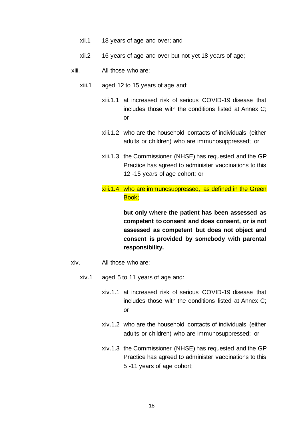- xii.1 18 years of age and over; and
- xii.2 16 years of age and over but not yet 18 years of age;
- xiii. All those who are:
	- xiii.1 aged 12 to 15 years of age and:
		- xiii.1.1 at increased risk of serious COVID-19 disease that includes those with the conditions listed at Annex C; or
		- xiii.1.2 who are the household contacts of individuals (either adults or children) who are immunosuppressed; or
		- xiii.1.3 the Commissioner (NHSE) has requested and the GP Practice has agreed to administer vaccinations to this 12 -15 years of age cohort; or
		- xiii.1.4 who are immunosuppressed, as defined in the Green Book;

**but only where the patient has been assessed as competent to consent and does consent, or is not assessed as competent but does not object and consent is provided by somebody with parental responsibility.**

- xiv. All those who are:
	- xiv.1 aged 5 to 11 years of age and:
		- xiv.1.1 at increased risk of serious COVID-19 disease that includes those with the conditions listed at Annex C; or
		- xiv.1.2 who are the household contacts of individuals (either adults or children) who are immunosuppressed; or
		- xiv.1.3 the Commissioner (NHSE) has requested and the GP Practice has agreed to administer vaccinations to this 5 -11 years of age cohort;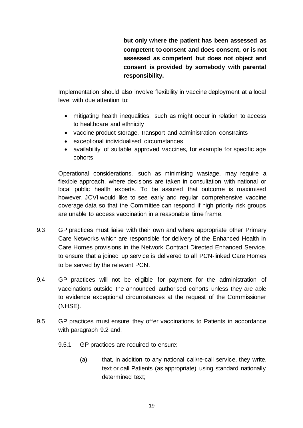**but only where the patient has been assessed as competent to consent and does consent, or is not assessed as competent but does not object and consent is provided by somebody with parental responsibility.**

Implementation should also involve flexibility in vaccine deployment at a local level with due attention to:

- mitigating health inequalities, such as might occur in relation to access to healthcare and ethnicity
- vaccine product storage, transport and administration constraints
- exceptional individualised circumstances
- availability of suitable approved vaccines, for example for specific age cohorts

Operational considerations, such as minimising wastage, may require a flexible approach, where decisions are taken in consultation with national or local public health experts. To be assured that outcome is maximised however, JCVI would like to see early and regular comprehensive vaccine coverage data so that the Committee can respond if high priority risk groups are unable to access vaccination in a reasonable time frame.

- 9.3 GP practices must liaise with their own and where appropriate other Primary Care Networks which are responsible for delivery of the Enhanced Health in Care Homes provisions in the Network Contract Directed Enhanced Service, to ensure that a joined up service is delivered to all PCN-linked Care Homes to be served by the relevant PCN.
- 9.4 GP practices will not be eligible for payment for the administration of vaccinations outside the announced authorised cohorts unless they are able to evidence exceptional circumstances at the request of the Commissioner (NHSE).
- <span id="page-23-1"></span><span id="page-23-0"></span>9.5 GP practices must ensure they offer vaccinations to Patients in accordance with paragraph [9.2](#page-18-0) and:
	- 9.5.1 GP practices are required to ensure:
		- (a) that, in addition to any national call/re-call service, they write, text or call Patients (as appropriate) using standard nationally determined text;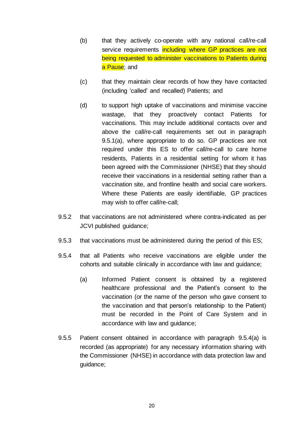- (b) that they actively co-operate with any national call/re-call service requirements including where GP practices are not being requested to administer vaccinations to Patients during a Pause; and
- (c) that they maintain clear records of how they have contacted (including 'called' and recalled) Patients; and
- (d) to support high uptake of vaccinations and minimise vaccine wastage, that they proactively contact Patients for vaccinations. This may include additional contacts over and above the call/re-call requirements set out in paragraph [9.5.1](#page-23-0)[\(a\),](#page-23-1) where appropriate to do so. GP practices are not required under this ES to offer call/re-call to care home residents, Patients in a residential setting for whom it has been agreed with the Commissioner (NHSE) that they should receive their vaccinations in a residential setting rather than a vaccination site, and frontline health and social care workers. Where these Patients are easily identifiable, GP practices may wish to offer call/re-call;
- 9.5.2 that vaccinations are not administered where contra-indicated as per JCVI published guidance;
- 9.5.3 that vaccinations must be administered during the period of this ES;
- <span id="page-24-0"></span>9.5.4 that all Patients who receive vaccinations are eligible under the cohorts and suitable clinically in accordance with law and guidance;
	- (a) Informed Patient consent is obtained by a registered healthcare professional and the Patient's consent to the vaccination (or the name of the person who gave consent to the vaccination and that person's relationship to the Patient) must be recorded in the Point of Care System and in accordance with law and guidance;
- 9.5.5 Patient consent obtained in accordance with paragraph [9.5.4\(a\)](#page-24-0) is recorded (as appropriate) for any necessary information sharing with the Commissioner (NHSE) in accordance with data protection law and guidance;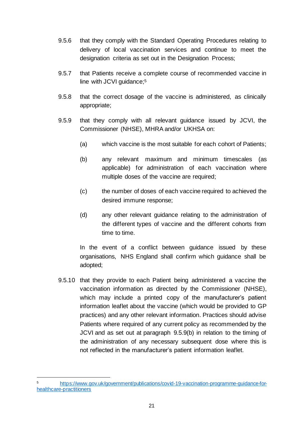- 9.5.6 that they comply with the Standard Operating Procedures relating to delivery of local vaccination services and continue to meet the designation criteria as set out in the Designation Process;
- 9.5.7 that Patients receive a complete course of recommended vaccine in line with JCVI guidance; 5
- 9.5.8 that the correct dosage of the vaccine is administered, as clinically appropriate;
- 9.5.9 that they comply with all relevant guidance issued by JCVI, the Commissioner (NHSE), MHRA and/or UKHSA on:
	- (a) which vaccine is the most suitable for each cohort of Patients;
	- (b) any relevant maximum and minimum timescales (as applicable) for administration of each vaccination where multiple doses of the vaccine are required;
	- (c) the number of doses of each vaccine required to achieved the desired immune response;
	- (d) any other relevant guidance relating to the administration of the different types of vaccine and the different cohorts from time to time.

In the event of a conflict between guidance issued by these organisations, NHS England shall confirm which guidance shall be adopted;

9.5.10 that they provide to each Patient being administered a vaccine the vaccination information as directed by the Commissioner (NHSE), which may include a printed copy of the manufacturer's patient information leaflet about the vaccine (which would be provided to GP practices) and any other relevant information. Practices should advise Patients where required of any current policy as recommended by the JCVI and as set out at paragraph 9.5.9(b) in relation to the timing of the administration of any necessary subsequent dose where this is not reflected in the manufacturer's patient information leaflet.

<sup>5</sup> [https://www.gov.uk/government/publications/covid-19-vaccination-programme-guidance-for](https://www.gov.uk/government/publications/covid-19-vaccination-programme-guidance-for-healthcare-practitioners)[healthcare-practitioners](https://www.gov.uk/government/publications/covid-19-vaccination-programme-guidance-for-healthcare-practitioners)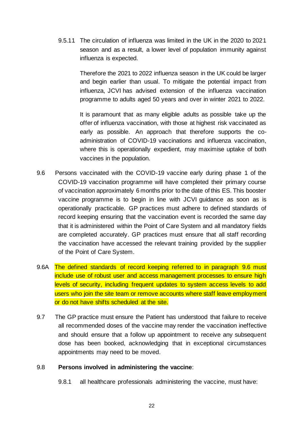9.5.11 The circulation of influenza was limited in the UK in the 2020 to 2021 season and as a result, a lower level of population immunity against influenza is expected.

> Therefore the 2021 to 2022 influenza season in the UK could be larger and begin earlier than usual. To mitigate the potential impact from influenza, JCVI has advised extension of the influenza vaccination programme to adults aged 50 years and over in winter 2021 to 2022.

> It is paramount that as many eligible adults as possible take up the offer of influenza vaccination, with those at highest risk vaccinated as early as possible. An approach that therefore supports the coadministration of COVID-19 vaccinations and influenza vaccination, where this is operationally expedient, may maximise uptake of both vaccines in the population.

- 9.6 Persons vaccinated with the COVID-19 vaccine early during phase 1 of the COVID-19 vaccination programme will have completed their primary course of vaccination approximately 6 months prior to the date of this ES. This booster vaccine programme is to begin in line with JCVI guidance as soon as is operationally practicable. GP practices must adhere to defined standards of record keeping ensuring that the vaccination event is recorded the same day that it is administered within the Point of Care System and all mandatory fields are completed accurately. GP practices must ensure that all staff recording the vaccination have accessed the relevant training provided by the supplier of the Point of Care System.
- 9.6A The defined standards of record keeping referred to in paragraph 9.6 must include use of robust user and access management processes to ensure high levels of security, including frequent updates to system access levels to add users who join the site team or remove accounts where staff leave employment or do not have shifts scheduled at the site.
- 9.7 The GP practice must ensure the Patient has understood that failure to receive all recommended doses of the vaccine may render the vaccination ineffective and should ensure that a follow up appointment to receive any subsequent dose has been booked, acknowledging that in exceptional circumstances appointments may need to be moved.

#### <span id="page-26-0"></span>9.8 **Persons involved in administering the vaccine**:

9.8.1 all healthcare professionals administering the vaccine, must have: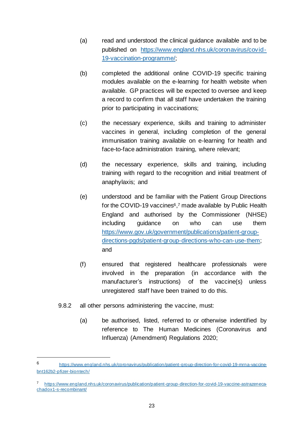- (a) read and understood the clinical guidance available and to be published on [https://www.england.nhs.uk/coronavirus/covid-](https://www.england.nhs.uk/coronavirus/covid-19-vaccination-programme/)[19-vaccination-programme/;](https://www.england.nhs.uk/coronavirus/covid-19-vaccination-programme/)
- (b) completed the additional online COVID-19 specific training modules available on the e-learning for health website when available. GP practices will be expected to oversee and keep a record to confirm that all staff have undertaken the training prior to participating in vaccinations;
- (c) the necessary experience, skills and training to administer vaccines in general, including completion of the general immunisation training available on e-learning for health and face-to-face administration training, where relevant;
- (d) the necessary experience, skills and training, including training with regard to the recognition and initial treatment of anaphylaxis; and
- (e) understood and be familiar with the Patient Group Directions for the COVID-19 vaccines<sup>6</sup>,<sup>7</sup> made available by Public Health England and authorised by the Commissioner (NHSE) including guidance on who can use them [https://www.gov.uk/government/publications/patient-group](https://www.gov.uk/government/publications/patient-group-directions-pgds/patient-group-directions-who-can-use-them)[directions-pgds/patient-group-directions-who-can-use-them;](https://www.gov.uk/government/publications/patient-group-directions-pgds/patient-group-directions-who-can-use-them)  and
- (f) ensured that registered healthcare professionals were involved in the preparation (in accordance with the manufacturer's instructions) of the vaccine(s) unless unregistered staff have been trained to do this.
- 9.8.2 all other persons administering the vaccine, must:
	- (a) be authorised, listed, referred to or otherwise indentified by reference to The Human Medicines (Coronavirus and Influenza) (Amendment) Regulations 2020;

<sup>6</sup> [https://www.england.nhs.uk/coronavirus/publication/patient-group-direction-for-covid-19-mrna-vaccine](https://www.england.nhs.uk/coronavirus/publication/patient-group-direction-for-covid-19-mrna-vaccine-bnt162b2-pfizer-biontech/)[bnt162b2-pfizer-biontech/](https://www.england.nhs.uk/coronavirus/publication/patient-group-direction-for-covid-19-mrna-vaccine-bnt162b2-pfizer-biontech/)

<sup>7</sup> [https://www.england.nhs.uk/coronavirus/publication/patient-group-direction-for-covid-19-vaccine-astrazeneca](https://www.england.nhs.uk/coronavirus/publication/patient-group-direction-for-covid-19-vaccine-astrazeneca-chadox1-s-recombinant/)[chadox1-s-recombinant/](https://www.england.nhs.uk/coronavirus/publication/patient-group-direction-for-covid-19-vaccine-astrazeneca-chadox1-s-recombinant/)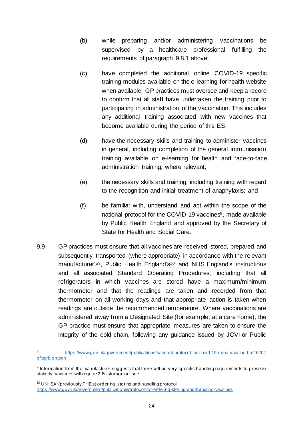- (b) while preparing and/or administering vaccinations be supervised by a healthcare professional fulfilling the requirements of paragraph [9.8.1](#page-26-0) above;
- (c) have completed the additional online COVID-19 specific training modules available on the e-learning for health website when available. GP practices must oversee and keep a record to confirm that all staff have undertaken the training prior to participating in administration of the vaccination. This includes any additional training associated with new vaccines that become available during the period of this ES;
- (d) have the necessary skills and training to administer vaccines in general, including completion of the general immunisation training available on e-learning for health and face-to-face administration training, where relevant;
- (e) the necessary skills and training, including training with regard to the recognition and initial treatment of anaphylaxis; and
- (f) be familiar with, understand and act within the scope of the national protocol for the COVID-19 vaccines<sup>8</sup>, made available by Public Health England and approved by the Secretary of State for Health and Social Care.
- 9.9 GP practices must ensure that all vaccines are received, stored, prepared and subsequently transported (where appropriate) in accordance with the relevant manufacturer's<sup>9</sup>, Public Health England's<sup>10</sup> and NHS England's instructions and all associated Standard Operating Procedures, including that all refrigerators in which vaccines are stored have a maximum/minimum thermometer and that the readings are taken and recorded from that thermometer on all working days and that appropriate action is taken when readings are outside the recommended temperature. Where vaccinations are administered away from a Designated Site (for example, at a care home), the GP practice must ensure that appropriate measures are taken to ensure the integrity of the cold chain, following any guidance issued by JCVI or Public

<sup>10</sup> UKHSA (previously PHE's) ordering, storing and handling protocol <https://www.gov.uk/government/publications/protocol-for-ordering-storing-and-handling-vaccines>

<sup>8</sup> [https://www.gov.uk/government/publications/national-protocol-for-covid-19-mrna-vaccine-bnt162b2](https://www.gov.uk/government/publications/national-protocol-for-covid-19-mrna-vaccine-bnt162b2-pfizerbiontech) [pfizerbiontech](https://www.gov.uk/government/publications/national-protocol-for-covid-19-mrna-vaccine-bnt162b2-pfizerbiontech)

<sup>&</sup>lt;sup>9</sup> Information from the manufacturer suggests that there will be very specific handling requirements to preserve stability. Vaccines will require 2-8c storage on-site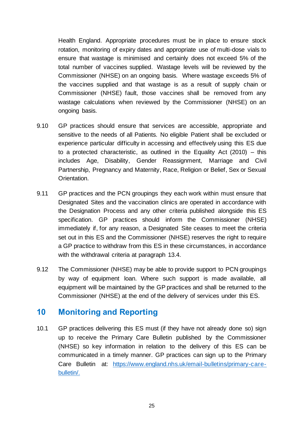Health England. Appropriate procedures must be in place to ensure stock rotation, monitoring of expiry dates and appropriate use of multi-dose vials to ensure that wastage is minimised and certainly does not exceed 5% of the total number of vaccines supplied. Wastage levels will be reviewed by the Commissioner (NHSE) on an ongoing basis. Where wastage exceeds 5% of the vaccines supplied and that wastage is as a result of supply chain or Commissioner (NHSE) fault, those vaccines shall be removed from any wastage calculations when reviewed by the Commissioner (NHSE) on an ongoing basis.

- 9.10 GP practices should ensure that services are accessible, appropriate and sensitive to the needs of all Patients. No eligible Patient shall be excluded or experience particular difficulty in accessing and effectively using this ES due to a protected characteristic, as outlined in the Equality Act (2010) – this includes Age, Disability, Gender Reassignment, Marriage and Civil Partnership, Pregnancy and Maternity, Race, Religion or Belief, Sex or Sexual Orientation.
- 9.11 GP practices and the PCN groupings they each work within must ensure that Designated Sites and the vaccination clinics are operated in accordance with the Designation Process and any other criteria published alongside this ES specification. GP practices should inform the Commissioner (NHSE) immediately if, for any reason, a Designated Site ceases to meet the criteria set out in this ES and the Commissioner (NHSE) reserves the right to require a GP practice to withdraw from this ES in these circumstances, in accordance with the withdrawal criteria at paragraph [13.4.](#page-38-0)
- 9.12 The Commissioner (NHSE) may be able to provide support to PCN groupings by way of equipment loan. Where such support is made available, all equipment will be maintained by the GP practices and shall be returned to the Commissioner (NHSE) at the end of the delivery of services under this ES.

## **10 Monitoring and Reporting**

<span id="page-29-0"></span>10.1 GP practices delivering this ES must (if they have not already done so) sign up to receive the Primary Care Bulletin published by the Commissioner (NHSE) so key information in relation to the delivery of this ES can be communicated in a timely manner. GP practices can sign up to the Primary Care Bulletin at: [https://www.england.nhs.uk/email-bulletins/primary-care](https://www.england.nhs.uk/email-bulletins/primary-care-bulletin/)[bulletin/.](https://www.england.nhs.uk/email-bulletins/primary-care-bulletin/)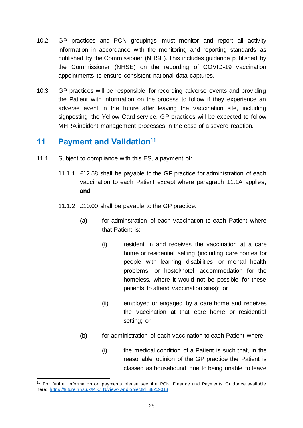- 10.2 GP practices and PCN groupings must monitor and report all activity information in accordance with the monitoring and reporting standards as published by the Commissioner (NHSE). This includes guidance published by the Commissioner (NHSE) on the recording of COVID-19 vaccination appointments to ensure consistent national data captures.
- 10.3 GP practices will be responsible for recording adverse events and providing the Patient with information on the process to follow if they experience an adverse event in the future after leaving the vaccination site, including signposting the Yellow Card service. GP practices will be expected to follow MHRA incident management processes in the case of a severe reaction.

## <span id="page-30-0"></span>**11 Payment and Validation<sup>11</sup>**

- 11.1 Subject to compliance with this ES, a payment of:
	- 11.1.1 £12.58 shall be payable to the GP practice for administration of each vaccination to each Patient except where paragraph 11.1A applies; **and**
	- 11.1.2 £10.00 shall be payable to the GP practice:
		- (a) for adminstration of each vaccination to each Patient where that Patient is:
			- (i) resident in and receives the vaccination at a care home or residential setting (including care homes for people with learning disabilities or mental health problems, or hostel/hotel accommodation for the homeless, where it would not be possible for these patients to attend vaccination sites); or
			- (ii) employed or engaged by a care home and receives the vaccination at that care home or residential setting; or
		- (b) for administration of each vaccination to each Patient where:
			- (i) the medical condition of a Patient is such that, in the reasonable opinion of the GP practice the Patient is classed as housebound due to being unable to leave

<sup>&</sup>lt;sup>11</sup> For further information on payments please see the PCN Finance and Payments Guidance available here: [https://future.nhs.uk/P\\_C\\_N/view? And objectId=88259013](https://future.nhs.uk/P_C_N/view?%20And%20objectId=88259013)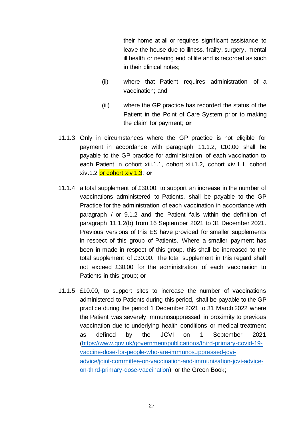their home at all or requires significant assistance to leave the house due to illness, frailty, surgery, mental ill health or nearing end of life and is recorded as such in their clinical notes;

- (ii) where that Patient requires administration of a vaccination; and
- (iii) where the GP practice has recorded the status of the Patient in the Point of Care System prior to making the claim for payment; **or**
- 11.1.3 Only in circumstances where the GP practice is not eligible for payment in accordance with paragraph 11.1.2, £10.00 shall be payable to the GP practice for administration of each vaccination to each Patient in cohort xiii.1.1, cohort xiii.1.2, cohort xiv.1.1, cohort xiv.1.2 or cohort xiv 1.3; **or**
- 11.1.4 a total supplement of £30.00, to support an increase in the number of vaccinations administered to Patients, shall be payable to the GP Practice for the administration of each vaccination in accordance with paragraph / or 9.1.2 **and** the Patient falls within the definition of paragraph 11.1.2(b) from 16 September 2021 to 31 December 2021. Previous versions of this ES have provided for smaller supplements in respect of this group of Patients. Where a smaller payment has been in made in respect of this group, this shall be increased to the total supplement of £30.00. The total supplement in this regard shall not exceed £30.00 for the administration of each vaccination to Patients in this group; **or**
- 11.1.5 £10.00, to support sites to increase the number of vaccinations administered to Patients during this period, shall be payable to the GP practice during the period 1 December 2021 to 31 March 2022 where the Patient was severely immunosuppressed in proximity to previous vaccination due to underlying health conditions or medical treatment as defined by the JCVI on 1 September 2021 [\(https://www.gov.uk/government/publications/third-primary-covid-19](https://www.gov.uk/government/publications/third-primary-covid-19-vaccine-dose-for-people-who-are-immunosuppressed-jcvi-advice/joint-committee-on-vaccination-and-immunisation-jcvi-advice-on-third-primary-dose-vaccination) [vaccine-dose-for-people-who-are-immunosuppressed-jcvi](https://www.gov.uk/government/publications/third-primary-covid-19-vaccine-dose-for-people-who-are-immunosuppressed-jcvi-advice/joint-committee-on-vaccination-and-immunisation-jcvi-advice-on-third-primary-dose-vaccination)[advice/joint-committee-on-vaccination-and-immunisation-jcvi-advice](https://www.gov.uk/government/publications/third-primary-covid-19-vaccine-dose-for-people-who-are-immunosuppressed-jcvi-advice/joint-committee-on-vaccination-and-immunisation-jcvi-advice-on-third-primary-dose-vaccination)[on-third-primary-dose-vaccination\)](https://www.gov.uk/government/publications/third-primary-covid-19-vaccine-dose-for-people-who-are-immunosuppressed-jcvi-advice/joint-committee-on-vaccination-and-immunisation-jcvi-advice-on-third-primary-dose-vaccination) or the Green Book;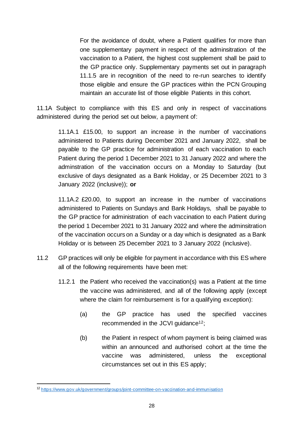For the avoidance of doubt, where a Patient qualifies for more than one supplementary payment in respect of the adminsitration of the vaccination to a Patient, the highest cost supplement shall be paid to the GP practice only. Supplementary payments set out in paragraph 11.1.5 are in recognition of the need to re-run searches to identify those eligible and ensure the GP practices within the PCN Grouping maintain an accurate list of those eligible Patients in this cohort.

11.1A Subject to compliance with this ES and only in respect of vaccinations administered during the period set out below, a payment of:

11.1A.1 £15.00, to support an increase in the number of vaccinations administered to Patients during December 2021 and January 2022, shall be payable to the GP practice for administration of each vaccination to each Patient during the period 1 December 2021 to 31 January 2022 and where the adminstration of the vaccination occurs on a Monday to Saturday (but exclusive of days designated as a Bank Holiday, or 25 December 2021 to 3 January 2022 (inclusive)); **or**

11.1A.2 £20.00, to support an increase in the number of vaccinations administered to Patients on Sundays and Bank Holidays, shall be payable to the GP practice for administration of each vaccination to each Patient during the period 1 December 2021 to 31 January 2022 and where the adminsitration of the vaccination occurs on a Sunday or a day which is designated as a Bank Holiday or is between 25 December 2021 to 3 January 2022 (inclusive).

- 11.2 GP practices will only be eligible for payment in accordance with this ES where all of the following requirements have been met:
	- 11.2.1 the Patient who received the vaccination(s) was a Patient at the time the vaccine was administered, and all of the following apply (except where the claim for reimbursement is for a qualifying exception):
		- (a) the GP practice has used the specified vaccines recommended in the JCVI quidance<sup>12</sup>;
		- (b) the Patient in respect of whom payment is being claimed was within an announced and authorised cohort at the time the vaccine was administered, unless the exceptional circumstances set out in this ES apply;

<sup>12</sup> <https://www.gov.uk/government/groups/joint-committee-on-vaccination-and-immunisation>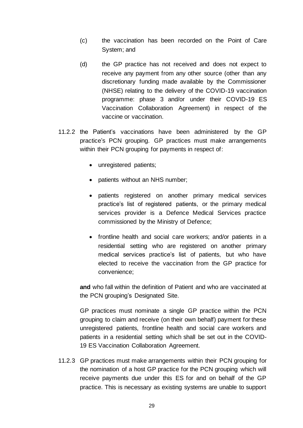- (c) the vaccination has been recorded on the Point of Care System; and
- (d) the GP practice has not received and does not expect to receive any payment from any other source (other than any discretionary funding made available by the Commissioner (NHSE) relating to the delivery of the COVID-19 vaccination programme: phase 3 and/or under their COVID-19 ES Vaccination Collaboration Agreement) in respect of the vaccine or vaccination.
- 11.2.2 the Patient's vaccinations have been administered by the GP practice's PCN grouping. GP practices must make arrangements within their PCN grouping for payments in respect of:
	- unregistered patients;
	- patients without an NHS number;
	- patients registered on another primary medical services practice's list of registered patients, or the primary medical services provider is a Defence Medical Services practice commissioned by the Ministry of Defence;
	- frontline health and social care workers; and/or patients in a residential setting who are registered on another primary medical services practice's list of patients, but who have elected to receive the vaccination from the GP practice for convenience;

**and** who fall within the definition of Patient and who are vaccinated at the PCN grouping's Designated Site.

GP practices must nominate a single GP practice within the PCN grouping to claim and receive (on their own behalf) payment for these unregistered patients, frontline health and social care workers and patients in a residential setting which shall be set out in the COVID-19 ES Vaccination Collaboration Agreement.

11.2.3 GP practices must make arrangements within their PCN grouping for the nomination of a host GP practice for the PCN grouping which will receive payments due under this ES for and on behalf of the GP practice. This is necessary as existing systems are unable to support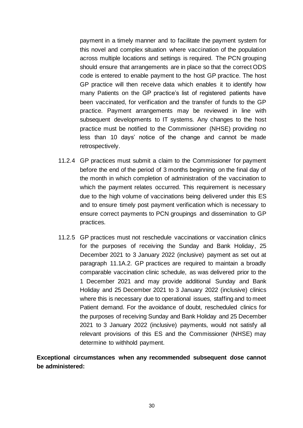payment in a timely manner and to facilitate the payment system for this novel and complex situation where vaccination of the population across multiple locations and settings is required. The PCN grouping should ensure that arrangements are in place so that the correct ODS code is entered to enable payment to the host GP practice. The host GP practice will then receive data which enables it to identify how many Patients on the GP practice's list of registered patients have been vaccinated, for verification and the transfer of funds to the GP practice. Payment arrangements may be reviewed in line with subsequent developments to IT systems. Any changes to the host practice must be notified to the Commissioner (NHSE) providing no less than 10 days' notice of the change and cannot be made retrospectively.

- 11.2.4 GP practices must submit a claim to the Commissioner for payment before the end of the period of 3 months beginning on the final day of the month in which completion of administration of the vaccination to which the payment relates occurred. This requirement is necessary due to the high volume of vaccinations being delivered under this ES and to ensure timely post payment verification which is necessary to ensure correct payments to PCN groupings and dissemination to GP practices.
- 11.2.5 GP practices must not reschedule vaccinations or vaccination clinics for the purposes of receiving the Sunday and Bank Holiday, 25 December 2021 to 3 January 2022 (inclusive) payment as set out at paragraph 11.1A.2. GP practices are required to maintain a broadly comparable vaccination clinic schedule, as was delivered prior to the 1 December 2021 and may provide additional Sunday and Bank Holiday and 25 December 2021 to 3 January 2022 (inclusive) clinics where this is necessary due to operational issues, staffing and to meet Patient demand. For the avoidance of doubt, rescheduled clinics for the purposes of receiving Sunday and Bank Holiday and 25 December 2021 to 3 January 2022 (inclusive) payments, would not satisfy all relevant provisions of this ES and the Commissioner (NHSE) may determine to withhold payment.

**Exceptional circumstances when any recommended subsequent dose cannot be administered:**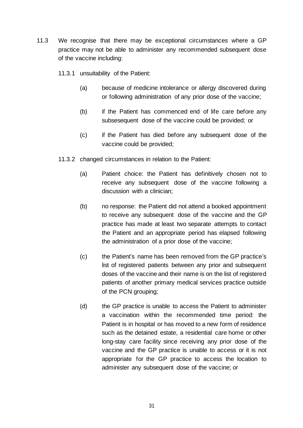- 11.3 We recognise that there may be exceptional circumstances where a GP practice may not be able to administer any recommended subsequent dose of the vaccine including:
	- 11.3.1 unsuitability of the Patient:
		- (a) because of medicine intolerance or allergy discovered during or following administration of any prior dose of the vaccine;
		- (b) if the Patient has commenced end of life care before any subsesequent dose of the vaccine could be provided; or
		- (c) if the Patient has died before any subsequent dose of the vaccine could be provided;
	- 11.3.2 changed circumstances in relation to the Patient:
		- (a) Patient choice: the Patient has definitively chosen not to receive any subsequent dose of the vaccine following a discussion with a clinician;
		- (b) no response: the Patient did not attend a booked appointment to receive any subsequent dose of the vaccine and the GP practice has made at least two separate attempts to contact the Patient and an appropriate period has elapsed following the administration of a prior dose of the vaccine;
		- (c) the Patient's name has been removed from the GP practice's list of registered patients between any prior and subsequent doses of the vaccine and their name is on the list of registered patients of another primary medical services practice outside of the PCN grouping;
		- (d) the GP practice is unable to access the Patient to administer a vaccination within the recommended time period: the Patient is in hospital or has moved to a new form of residence such as the detained estate, a residential care home or other long-stay care facility since receiving any prior dose of the vaccine and the GP practice is unable to access or it is not appropriate for the GP practice to access the location to administer any subsequent dose of the vaccine; or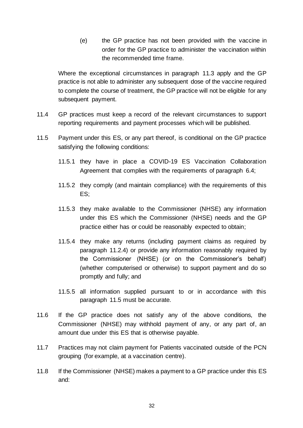(e) the GP practice has not been provided with the vaccine in order for the GP practice to administer the vaccination within the recommended time frame.

Where the exceptional circumstances in paragraph 11.3 apply and the GP practice is not able to administer any subsequent dose of the vaccine required to complete the course of treatment, the GP practice will not be eligible for any subsequent payment.

- 11.4 GP practices must keep a record of the relevant circumstances to support reporting requirements and payment processes which will be published.
- <span id="page-36-0"></span>11.5 Payment under this ES, or any part thereof, is conditional on the GP practice satisfying the following conditions:
	- 11.5.1 they have in place a COVID-19 ES Vaccination Collaboration Agreement that complies with the requirements of paragraph [6.4;](#page-12-0)
	- 11.5.2 they comply (and maintain compliance) with the requirements of this ES;
	- 11.5.3 they make available to the Commissioner (NHSE) any information under this ES which the Commissioner (NHSE) needs and the GP practice either has or could be reasonably expected to obtain;
	- 11.5.4 they make any returns (including payment claims as required by paragraph 11.2.4) or provide any information reasonably required by the Commissioner (NHSE) (or on the Commissioner's behalf) (whether computerised or otherwise) to support payment and do so promptly and fully; and
	- 11.5.5 all information supplied pursuant to or in accordance with this paragraph [11.5](#page-36-0) must be accurate.
- 11.6 If the GP practice does not satisfy any of the above conditions, the Commissioner (NHSE) may withhold payment of any, or any part of, an amount due under this ES that is otherwise payable.
- 11.7 Practices may not claim payment for Patients vaccinated outside of the PCN grouping (for example, at a vaccination centre).
- 11.8 If the Commissioner (NHSE) makes a payment to a GP practice under this ES and: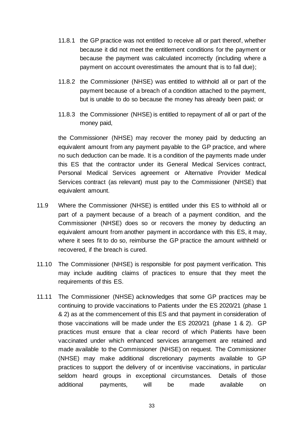- 11.8.1 the GP practice was not entitled to receive all or part thereof, whether because it did not meet the entitlement conditions for the payment or because the payment was calculated incorrectly (including where a payment on account overestimates the amount that is to fall due);
- 11.8.2 the Commissioner (NHSE) was entitled to withhold all or part of the payment because of a breach of a condition attached to the payment, but is unable to do so because the money has already been paid; or
- 11.8.3 the Commissioner (NHSE) is entitled to repayment of all or part of the money paid,

the Commissioner (NHSE) may recover the money paid by deducting an equivalent amount from any payment payable to the GP practice, and where no such deduction can be made. It is a condition of the payments made under this ES that the contractor under its General Medical Services contract, Personal Medical Services agreement or Alternative Provider Medical Services contract (as relevant) must pay to the Commissioner (NHSE) that equivalent amount.

- 11.9 Where the Commissioner (NHSE) is entitled under this ES to withhold all or part of a payment because of a breach of a payment condition, and the Commissioner (NHSE) does so or recovers the money by deducting an equivalent amount from another payment in accordance with this ES, it may, where it sees fit to do so, reimburse the GP practice the amount withheld or recovered, if the breach is cured.
- 11.10 The Commissioner (NHSE) is responsible for post payment verification. This may include auditing claims of practices to ensure that they meet the requirements of this ES.
- 11.11 The Commissioner (NHSE) acknowledges that some GP practices may be continuing to provide vaccinations to Patients under the ES 2020/21 (phase 1 & 2) as at the commencement of this ES and that payment in consideration of those vaccinations will be made under the ES 2020/21 (phase 1 & 2). GP practices must ensure that a clear record of which Patients have been vaccinated under which enhanced services arrangement are retained and made available to the Commissioner (NHSE) on request. The Commissioner (NHSE) may make additional discretionary payments available to GP practices to support the delivery of or incentivise vaccinations, in particular seldom heard groups in exceptional circumstances. Details of those additional payments, will be made available on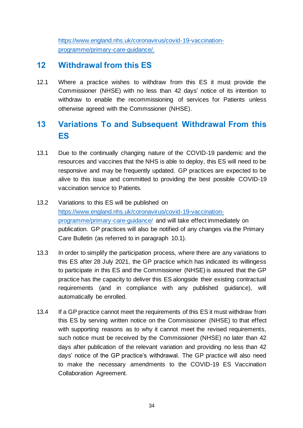[https://www.england.nhs.uk/coronavirus/covid-19-vaccination](https://www.england.nhs.uk/coronavirus/covid-19-vaccination-programme/primary-care-guidance/)[programme/primary-care-guidance/.](https://www.england.nhs.uk/coronavirus/covid-19-vaccination-programme/primary-care-guidance/)

## **12 Withdrawal from this ES**

12.1 Where a practice wishes to withdraw from this ES it must provide the Commissioner (NHSE) with no less than 42 days' notice of its intention to withdraw to enable the recommissioning of services for Patients unless otherwise agreed with the Commssioner (NHSE).

# **13 Variations To and Subsequent Withdrawal From this ES**

- 13.1 Due to the continually changing nature of the COVID-19 pandemic and the resources and vaccines that the NHS is able to deploy, this ES will need to be responsive and may be frequently updated. GP practices are expected to be alive to this issue and committed to providing the best possible COVID-19 vaccination service to Patients.
- 13.2 Variations to this ES will be published on [https://www.england.nhs.uk/coronavirus/covid-19-vaccination](https://www.england.nhs.uk/coronavirus/covid-19-vaccination-programme/primary-care-guidance/)[programme/primary-care-guidance/](https://www.england.nhs.uk/coronavirus/covid-19-vaccination-programme/primary-care-guidance/) and will take effect immediately on publication. GP practices will also be notified of any changes via the Primary Care Bulletin (as referred to in paragraph [10.1\)](#page-29-0).
- 13.3 In order to simplify the participation process, where there are any variations to this ES after 28 July 2021, the GP practice which has indicated its willingess to participate in this ES and the Commissioner (NHSE) is assured that the GP practice has the capacity to deliver this ES alongside their existing contractual requirements (and in compliance with any published guidance), will automatically be enrolled.
- <span id="page-38-0"></span>13.4 If a GP practice cannot meet the requirements of this ES it must withdraw from this ES by serving written notice on the Commissioner (NHSE) to that effect with supporting reasons as to why it cannot meet the revised requirements, such notice must be received by the Commissioner (NHSE) no later than 42 days after publication of the relevant variation and providing no less than 42 days' notice of the GP practice's withdrawal. The GP practice will also need to make the necessary amendments to the COVID-19 ES Vaccination Collaboration Agreement.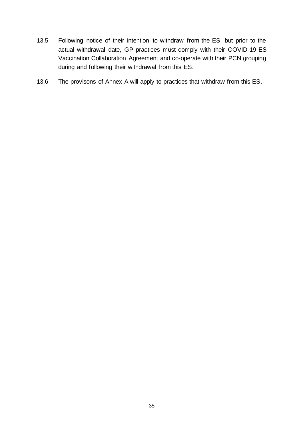- 13.5 Following notice of their intention to withdraw from the ES, but prior to the actual withdrawal date, GP practices must comply with their COVID-19 ES Vaccination Collaboration Agreement and co-operate with their PCN grouping during and following their withdrawal from this ES.
- 13.6 The provisons of Annex A will apply to practices that withdraw from this ES.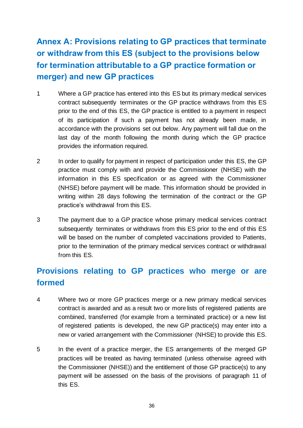# **Annex A: Provisions relating to GP practices that terminate or withdraw from this ES (subject to the provisions below for termination attributable to a GP practice formation or merger) and new GP practices**

- 1 Where a GP practice has entered into this ES but its primary medical services contract subsequently terminates or the GP practice withdraws from this ES prior to the end of this ES, the GP practice is entitled to a payment in respect of its participation if such a payment has not already been made, in accordance with the provisions set out below. Any payment will fall due on the last day of the month following the month during which the GP practice provides the information required.
- 2 In order to qualify for payment in respect of participation under this ES, the GP practice must comply with and provide the Commissioner (NHSE) with the information in this ES specification or as agreed with the Commissioner (NHSE) before payment will be made. This information should be provided in writing within 28 days following the termination of the contract or the GP practice's withdrawal from this ES.
- 3 The payment due to a GP practice whose primary medical services contract subsequently terminates or withdraws from this ES prior to the end of this ES will be based on the number of completed vaccinations provided to Patients, prior to the termination of the primary medical services contract or withdrawal from this ES.

# **Provisions relating to GP practices who merge or are formed**

- 4 Where two or more GP practices merge or a new primary medical services contract is awarded and as a result two or more lists of registered patients are combined, transferred (for example from a terminated practice) or a new list of registered patients is developed, the new GP practice(s) may enter into a new or varied arrangement with the Commissioner (NHSE) to provide this ES.
- 5 In the event of a practice merger, the ES arrangements of the merged GP practices will be treated as having terminated (unless otherwise agreed with the Commissioner (NHSE)) and the entitlement of those GP practice(s) to any payment will be assessed on the basis of the provisions of paragraph [11](#page-30-0) of this ES.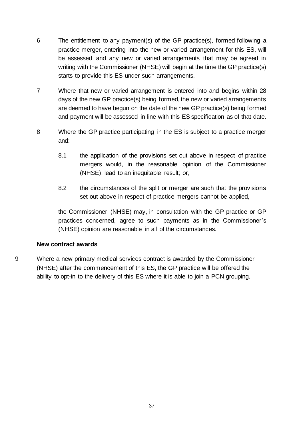- 6 The entitlement to any payment(s) of the GP practice(s), formed following a practice merger, entering into the new or varied arrangement for this ES, will be assessed and any new or varied arrangements that may be agreed in writing with the Commissioner (NHSE) will begin at the time the GP practice(s) starts to provide this ES under such arrangements.
- 7 Where that new or varied arrangement is entered into and begins within 28 days of the new GP practice(s) being formed, the new or varied arrangements are deemed to have begun on the date of the new GP practice(s) being formed and payment will be assessed in line with this ES specification as of that date.
- 8 Where the GP practice participating in the ES is subject to a practice merger and:
	- 8.1 the application of the provisions set out above in respect of practice mergers would, in the reasonable opinion of the Commissioner (NHSE), lead to an inequitable result; or,
	- 8.2 the circumstances of the split or merger are such that the provisions set out above in respect of practice mergers cannot be applied,

the Commissioner (NHSE) may, in consultation with the GP practice or GP practices concerned, agree to such payments as in the Commissioner's (NHSE) opinion are reasonable in all of the circumstances.

#### **New contract awards**

9 Where a new primary medical services contract is awarded by the Commissioner (NHSE) after the commencement of this ES, the GP practice will be offered the ability to opt-in to the delivery of this ES where it is able to join a PCN grouping.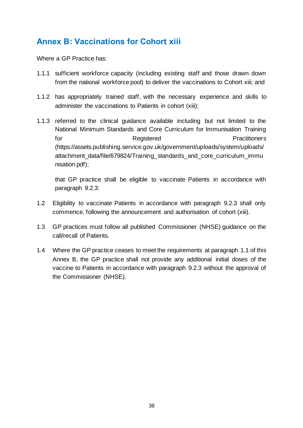# **Annex B: Vaccinations for Cohort xiii**

Where a GP Practice has:

- 1.1.1 sufficient workforce capacity (including existing staff and those drawn down from the national workforce pool) to deliver the vaccinations to Cohort xiii; and
- 1.1.2 has appropriately trained staff, with the necessary experience and skills to administer the vaccinations to Patients in cohort (xiii);
- 1.1.3 referred to the clinical guidance available including but not limited to the National Minimum Standards and Core Curriculum for Immunisation Training for Registered **Registered Practitioners** (https://assets.publishing.service.gov.uk/government/uploads/system/uploads/ attachment data/file/679824/Training standards and core curriculum immu nisation.pdf);

that GP practice shall be eligible to vaccinate Patients in accordance with paragraph 9.2.3:

- 1.2 Eligibility to vaccinate Patients in accordance with paragraph 9.2.3 shall only commence, following the announcement and authorisation of cohort (xiii).
- 1.3 GP practices must follow all published Commissioner (NHSE) guidance on the call/recall of Patients.
- 1.4 Where the GP practice ceases to meet the requirements at paragraph 1.1 of this Annex B, the GP practice shall not provide any additional initial doses of the vaccine to Patients in accordance with paragraph 9.2.3 without the approval of the Commissioner (NHSE).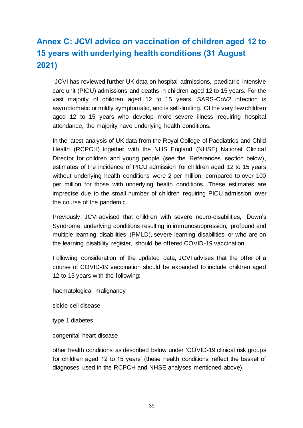# **Annex C: JCVI advice on vaccination of children aged 12 to 15 years with underlying health conditions (31 August 2021)**

"JCVI has reviewed further UK data on hospital admissions, paediatric intensive care unit (PICU) admissions and deaths in children aged 12 to 15 years. For the vast majority of children aged 12 to 15 years, SARS-CoV2 infection is asymptomatic or mildly symptomatic, and is self-limiting. Of the very few children aged 12 to 15 years who develop more severe illness requiring hospital attendance, the majority have underlying health conditions.

In the latest analysis of UK data from the Royal College of Paediatrics and Child Health (RCPCH) together with the NHS England (NHSE) National Clinical Director for children and young people (see the 'References' section below), estimates of the incidence of PICU admission for children aged 12 to 15 years without underlying health conditions were 2 per million, compared to over 100 per million for those with underlying health conditions. These estimates are imprecise due to the small number of children requiring PICU admission over the course of the pandemic.

Previously, JCVI advised that children with severe neuro-disabilities, Down's Syndrome, underlying conditions resulting in immunosuppression, profound and multiple learning disabilities (PMLD), severe learning disabilities or who are on the learning disability register, should be offered COVID-19 vaccination.

Following consideration of the updated data, JCVI advises that the offer of a course of COVID-19 vaccination should be expanded to include children aged 12 to 15 years with the following:

haematological malignancy

sickle cell disease

type 1 diabetes

congenital heart disease

other health conditions as described below under 'COVID-19 clinical risk groups for children aged 12 to 15 years' (these health conditions reflect the basket of diagnoses used in the RCPCH and NHSE analyses mentioned above).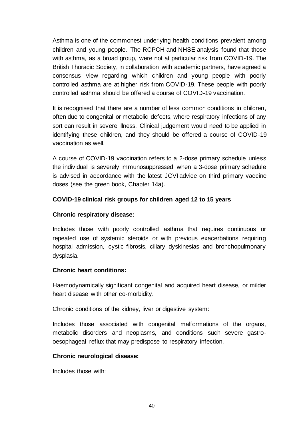Asthma is one of the commonest underlying health conditions prevalent among children and young people. The RCPCH and NHSE analysis found that those with asthma, as a broad group, were not at particular risk from COVID-19. The British Thoracic Society, in collaboration with academic partners, have agreed a consensus view regarding which children and young people with poorly controlled asthma are at higher risk from COVID-19. These people with poorly controlled asthma should be offered a course of COVID-19 vaccination.

It is recognised that there are a number of less common conditions in children, often due to congenital or metabolic defects, where respiratory infections of any sort can result in severe illness. Clinical judgement would need to be applied in identifying these children, and they should be offered a course of COVID-19 vaccination as well.

A course of COVID-19 vaccination refers to a 2-dose primary schedule unless the individual is severely immunosuppressed when a 3-dose primary schedule is advised in accordance with the latest JCVI advice on third primary vaccine doses (see the [green book, Chapter 14a\)](https://www.gov.uk/government/publications/covid-19-the-green-book-chapter-14a).

#### **COVID-19 clinical risk groups for children aged 12 to 15 years**

#### **Chronic respiratory disease:**

Includes those with poorly controlled asthma that requires continuous or repeated use of systemic steroids or with previous exacerbations requiring hospital admission, cystic fibrosis, ciliary dyskinesias and bronchopulmonary dysplasia.

#### **Chronic heart conditions:**

Haemodynamically significant congenital and acquired heart disease, or milder heart disease with other co-morbidity.

Chronic conditions of the kidney, liver or digestive system:

Includes those associated with congenital malformations of the organs, metabolic disorders and neoplasms, and conditions such severe gastrooesophageal reflux that may predispose to respiratory infection.

#### **Chronic neurological disease:**

Includes those with: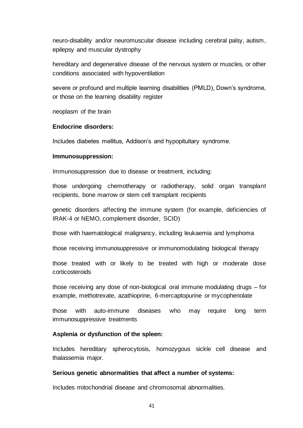neuro-disability and/or neuromuscular disease including cerebral palsy, autism, epilepsy and muscular dystrophy

hereditary and degenerative disease of the nervous system or muscles, or other conditions associated with hypoventilation

severe or profound and multiple learning disabilities (PMLD), Down's syndrome, or those on the learning disability register

neoplasm of the brain

#### **Endocrine disorders:**

Includes diabetes mellitus, Addison's and hypopituitary syndrome.

#### **Immunosuppression:**

Immunosuppression due to disease or treatment, including:

those undergoing chemotherapy or radiotherapy, solid organ transplant recipients, bone marrow or stem cell transplant recipients

genetic disorders affecting the immune system (for example, deficiencies of IRAK-4 or NEMO, complement disorder, SCID)

those with haematological malignancy, including leukaemia and lymphoma

those receiving immunosuppressive or immunomodulating biological therapy

those treated with or likely to be treated with high or moderate dose corticosteroids

those receiving any dose of non-biological oral immune modulating drugs – for example, methotrexate, azathioprine, 6-mercaptopurine or mycophenolate

those with auto-immune diseases who may require long term immunosuppressive treatments

#### **Asplenia or dysfunction of the spleen:**

Includes hereditary spherocytosis, homozygous sickle cell disease and thalassemia major.

#### **Serious genetic abnormalities that affect a number of systems:**

Includes mitochondrial disease and chromosomal abnormalities.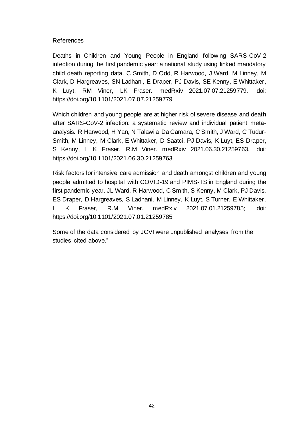#### References

[Deaths in Children and Young People in England following SARS-CoV-2](https://www.medrxiv.org/content/10.1101/2021.07.07.21259779v1)  [infection during the first pandemic year: a national study using linked mandatory](https://www.medrxiv.org/content/10.1101/2021.07.07.21259779v1)  [child death reporting data.](https://www.medrxiv.org/content/10.1101/2021.07.07.21259779v1) C Smith, D Odd, R Harwood, J Ward, M Linney, M Clark, D Hargreaves, SN Ladhani, E Draper, PJ Davis, SE Kenny, E Whittaker, K Luyt, RM Viner, LK Fraser. medRxiv 2021.07.07.21259779. doi: https://doi.org/10.1101/2021.07.07.21259779

[Which children and young people are at higher risk of severe disease and death](https://www.medrxiv.org/content/10.1101/2021.06.30.21259763v1)  [after SARS-CoV-2 infection: a systematic review and individual patient meta](https://www.medrxiv.org/content/10.1101/2021.06.30.21259763v1)[analysis.](https://www.medrxiv.org/content/10.1101/2021.06.30.21259763v1) R Harwood, H Yan, N Talawila Da Camara, C Smith, J Ward, C Tudur-Smith, M Linney, M Clark, E Whittaker, D Saatci, PJ Davis, K Luyt, ES Draper, S Kenny, L K Fraser, R.M Viner. medRxiv 2021.06.30.21259763. doi: https://doi.org/10.1101/2021.06.30.21259763

[Risk factors for intensive care admission and death amongst children and young](https://www.medrxiv.org/content/10.1101/2021.07.01.21259785v1)  [people admitted to hospital with COVID-19 and PIMS-TS in England during the](https://www.medrxiv.org/content/10.1101/2021.07.01.21259785v1)  [first pandemic year.](https://www.medrxiv.org/content/10.1101/2021.07.01.21259785v1) JL Ward, R Harwood, C Smith, S Kenny, M Clark, PJ Davis, ES Draper, D Hargreaves, S Ladhani, M Linney, K Luyt, S Turner, E Whittaker, L K Fraser, R.M Viner. medRxiv 2021.07.01.21259785; doi: https://doi.org/10.1101/2021.07.01.21259785

Some of the data considered by JCVI were unpublished analyses from the studies cited above."